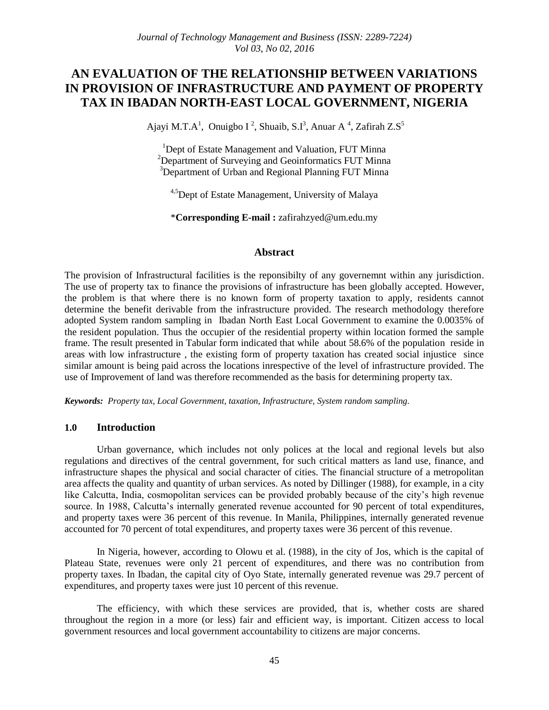# **AN EVALUATION OF THE RELATIONSHIP BETWEEN VARIATIONS IN PROVISION OF INFRASTRUCTURE AND PAYMENT OF PROPERTY TAX IN IBADAN NORTH-EAST LOCAL GOVERNMENT, NIGERIA**

Ajayi M.T.A<sup>1</sup>, Onuigbo I<sup>2</sup>, Shuaib, S.I<sup>3</sup>, Anuar A<sup>4</sup>, Zafirah Z.S<sup>5</sup>

<sup>1</sup>Dept of Estate Management and Valuation, FUT Minna <sup>2</sup>Department of Surveying and Geoinformatics FUT Minna <sup>3</sup>Department of Urban and Regional Planning FUT Minna

<sup>4,5</sup>Dept of Estate Management, University of Malaya

\***Corresponding E-mail :** zafirahzyed@um.edu.my

#### **Abstract**

The provision of Infrastructural facilities is the reponsibilty of any governemnt within any jurisdiction. The use of property tax to finance the provisions of infrastructure has been globally accepted. However, the problem is that where there is no known form of property taxation to apply, residents cannot determine the benefit derivable from the infrastructure provided. The research methodology therefore adopted System random sampling in Ibadan North East Local Government to examine the 0.0035% of the resident population. Thus the occupier of the residential property within location formed the sample frame. The result presented in Tabular form indicated that while about 58.6% of the population reside in areas with low infrastructure , the existing form of property taxation has created social injustice since similar amount is being paid across the locations inrespective of the level of infrastructure provided. The use of Improvement of land was therefore recommended as the basis for determining property tax.

*Keywords: Property tax, Local Government, taxation, Infrastructure, System random sampling.*

### **1.0 Introduction**

Urban governance, which includes not only polices at the local and regional levels but also regulations and directives of the central government, for such critical matters as land use, finance, and infrastructure shapes the physical and social character of cities. The financial structure of a metropolitan area affects the quality and quantity of urban services. As noted by Dillinger (1988), for example, in a city like Calcutta, India, cosmopolitan services can be provided probably because of the city's high revenue source. In 1988, Calcutta's internally generated revenue accounted for 90 percent of total expenditures, and property taxes were 36 percent of this revenue. In Manila, Philippines, internally generated revenue accounted for 70 percent of total expenditures, and property taxes were 36 percent of this revenue.

In Nigeria, however, according to Olowu et al. (1988), in the city of Jos, which is the capital of Plateau State, revenues were only 21 percent of expenditures, and there was no contribution from property taxes. In Ibadan, the capital city of Oyo State, internally generated revenue was 29.7 percent of expenditures, and property taxes were just 10 percent of this revenue.

The efficiency, with which these services are provided, that is, whether costs are shared throughout the region in a more (or less) fair and efficient way, is important. Citizen access to local government resources and local government accountability to citizens are major concerns.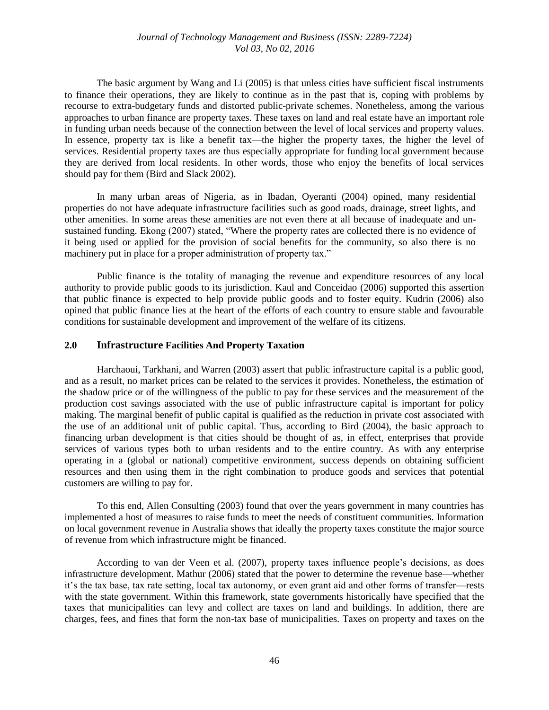The basic argument by Wang and Li (2005) is that unless cities have sufficient fiscal instruments to finance their operations, they are likely to continue as in the past that is, coping with problems by recourse to extra-budgetary funds and distorted public-private schemes. Nonetheless, among the various approaches to urban finance are property taxes. These taxes on land and real estate have an important role in funding urban needs because of the connection between the level of local services and property values. In essence, property tax is like a benefit tax—the higher the property taxes, the higher the level of services. Residential property taxes are thus especially appropriate for funding local government because they are derived from local residents. In other words, those who enjoy the benefits of local services should pay for them (Bird and Slack 2002).

In many urban areas of Nigeria, as in Ibadan, Oyeranti (2004) opined, many residential properties do not have adequate infrastructure facilities such as good roads, drainage, street lights, and other amenities. In some areas these amenities are not even there at all because of inadequate and unsustained funding. Ekong (2007) stated, "Where the property rates are collected there is no evidence of it being used or applied for the provision of social benefits for the community, so also there is no machinery put in place for a proper administration of property tax."

Public finance is the totality of managing the revenue and expenditure resources of any local authority to provide public goods to its jurisdiction. Kaul and Conceidao (2006) supported this assertion that public finance is expected to help provide public goods and to foster equity. Kudrin (2006) also opined that public finance lies at the heart of the efforts of each country to ensure stable and favourable conditions for sustainable development and improvement of the welfare of its citizens.

#### **2.0 Infrastructure Facilities And Property Taxation**

Harchaoui, Tarkhani, and Warren (2003) assert that public infrastructure capital is a public good, and as a result, no market prices can be related to the services it provides. Nonetheless, the estimation of the shadow price or of the willingness of the public to pay for these services and the measurement of the production cost savings associated with the use of public infrastructure capital is important for policy making. The marginal benefit of public capital is qualified as the reduction in private cost associated with the use of an additional unit of public capital. Thus, according to Bird (2004), the basic approach to financing urban development is that cities should be thought of as, in effect, enterprises that provide services of various types both to urban residents and to the entire country. As with any enterprise operating in a (global or national) competitive environment, success depends on obtaining sufficient resources and then using them in the right combination to produce goods and services that potential customers are willing to pay for.

To this end, Allen Consulting (2003) found that over the years government in many countries has implemented a host of measures to raise funds to meet the needs of constituent communities. Information on local government revenue in Australia shows that ideally the property taxes constitute the major source of revenue from which infrastructure might be financed.

According to van der Veen et al. (2007), property taxes influence people's decisions, as does infrastructure development. Mathur (2006) stated that the power to determine the revenue base—whether it's the tax base, tax rate setting, local tax autonomy, or even grant aid and other forms of transfer—rests with the state government. Within this framework, state governments historically have specified that the taxes that municipalities can levy and collect are taxes on land and buildings. In addition, there are charges, fees, and fines that form the non-tax base of municipalities. Taxes on property and taxes on the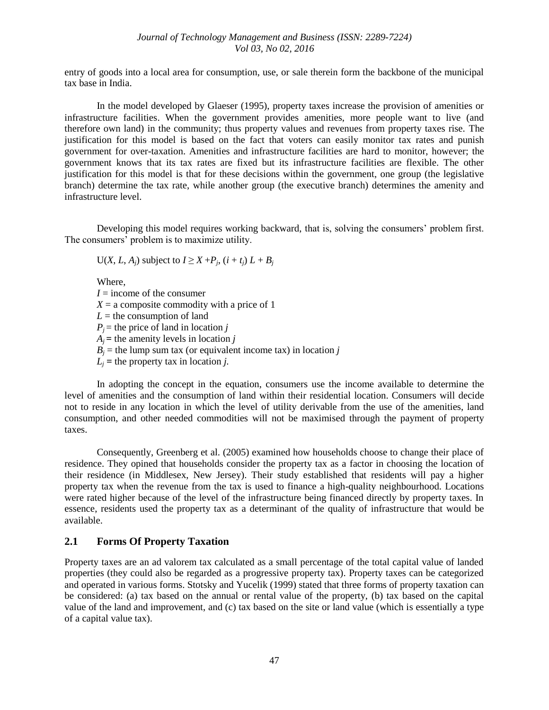entry of goods into a local area for consumption, use, or sale therein form the backbone of the municipal tax base in India.

In the model developed by Glaeser (1995), property taxes increase the provision of amenities or infrastructure facilities. When the government provides amenities, more people want to live (and therefore own land) in the community; thus property values and revenues from property taxes rise. The justification for this model is based on the fact that voters can easily monitor tax rates and punish government for over-taxation. Amenities and infrastructure facilities are hard to monitor, however; the government knows that its tax rates are fixed but its infrastructure facilities are flexible. The other justification for this model is that for these decisions within the government, one group (the legislative branch) determine the tax rate, while another group (the executive branch) determines the amenity and infrastructure level.

Developing this model requires working backward, that is, solving the consumers' problem first. The consumers' problem is to maximize utility.

 $U(X, L, A_j)$  subject to  $I \ge X + P_j$ ,  $(i + t_j) L + B_j$ 

Where,  $I =$  income of the consumer  $X = a$  composite commodity with a price of 1  $L =$  the consumption of land  $P_i$  = the price of land in location *j*  $A_i$  = the amenity levels in location *j*  $B_i$  = the lump sum tax (or equivalent income tax) in location *j*  $L_i$  = the property tax in location *j*.

In adopting the concept in the equation, consumers use the income available to determine the level of amenities and the consumption of land within their residential location. Consumers will decide not to reside in any location in which the level of utility derivable from the use of the amenities, land consumption, and other needed commodities will not be maximised through the payment of property taxes.

Consequently, Greenberg et al. (2005) examined how households choose to change their place of residence. They opined that households consider the property tax as a factor in choosing the location of their residence (in Middlesex, New Jersey). Their study established that residents will pay a higher property tax when the revenue from the tax is used to finance a high-quality neighbourhood. Locations were rated higher because of the level of the infrastructure being financed directly by property taxes. In essence, residents used the property tax as a determinant of the quality of infrastructure that would be available.

# **2.1 Forms Of Property Taxation**

Property taxes are an ad valorem tax calculated as a small percentage of the total capital value of landed properties (they could also be regarded as a progressive property tax). Property taxes can be categorized and operated in various forms. Stotsky and Yucelik (1999) stated that three forms of property taxation can be considered: (a) tax based on the annual or rental value of the property, (b) tax based on the capital value of the land and improvement, and (c) tax based on the site or land value (which is essentially a type of a capital value tax).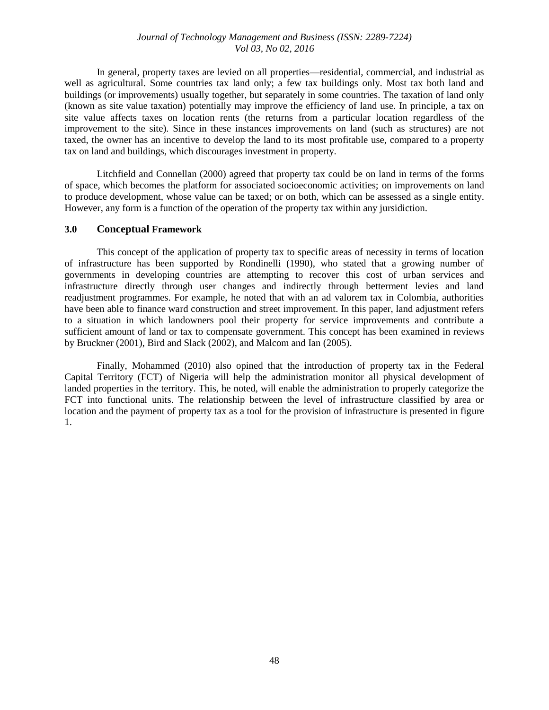In general, property taxes are levied on all properties—residential, commercial, and industrial as well as agricultural. Some countries tax land only; a few tax buildings only. Most tax both land and buildings (or improvements) usually together, but separately in some countries. The taxation of land only (known as site value taxation) potentially may improve the efficiency of land use. In principle, a tax on site value affects taxes on location rents (the returns from a particular location regardless of the improvement to the site). Since in these instances improvements on land (such as structures) are not taxed, the owner has an incentive to develop the land to its most profitable use, compared to a property tax on land and buildings, which discourages investment in property.

Litchfield and Connellan (2000) agreed that property tax could be on land in terms of the forms of space, which becomes the platform for associated socioeconomic activities; on improvements on land to produce development, whose value can be taxed; or on both, which can be assessed as a single entity. However, any form is a function of the operation of the property tax within any jursidiction.

#### **3.0 Conceptual Framework**

This concept of the application of property tax to specific areas of necessity in terms of location of infrastructure has been supported by Rondinelli (1990), who stated that a growing number of governments in developing countries are attempting to recover this cost of urban services and infrastructure directly through user changes and indirectly through betterment levies and land readjustment programmes. For example, he noted that with an ad valorem tax in Colombia, authorities have been able to finance ward construction and street improvement. In this paper, land adjustment refers to a situation in which landowners pool their property for service improvements and contribute a sufficient amount of land or tax to compensate government. This concept has been examined in reviews by Bruckner (2001), Bird and Slack (2002), and Malcom and Ian (2005).

Finally, Mohammed (2010) also opined that the introduction of property tax in the Federal Capital Territory (FCT) of Nigeria will help the administration monitor all physical development of landed properties in the territory. This, he noted, will enable the administration to properly categorize the FCT into functional units. The relationship between the level of infrastructure classified by area or location and the payment of property tax as a tool for the provision of infrastructure is presented in figure 1.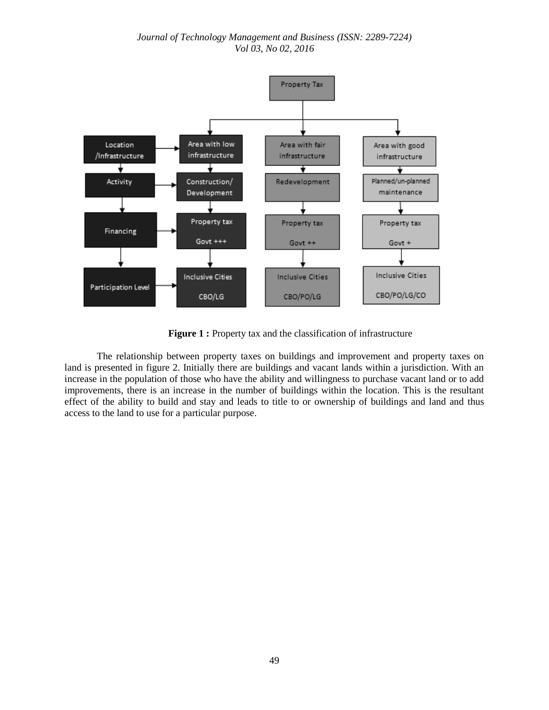

**Figure 1 :** Property tax and the classification of infrastructure

The relationship between property taxes on buildings and improvement and property taxes on land is presented in figure 2. Initially there are buildings and vacant lands within a jurisdiction. With an increase in the population of those who have the ability and willingness to purchase vacant land or to add improvements, there is an increase in the number of buildings within the location. This is the resultant effect of the ability to build and stay and leads to title to or ownership of buildings and land and thus access to the land to use for a particular purpose.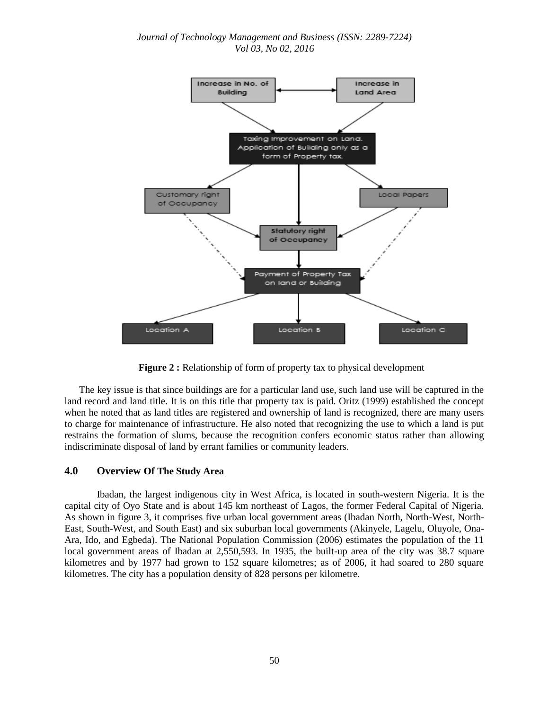

**Figure 2 :** Relationship of form of property tax to physical development

The key issue is that since buildings are for a particular land use, such land use will be captured in the land record and land title. It is on this title that property tax is paid. Oritz (1999) established the concept when he noted that as land titles are registered and ownership of land is recognized, there are many users to charge for maintenance of infrastructure. He also noted that recognizing the use to which a land is put restrains the formation of slums, because the recognition confers economic status rather than allowing indiscriminate disposal of land by errant families or community leaders.

# **4.0 Overview Of The Study Area**

Ibadan, the largest indigenous city in West Africa, is located in south-western Nigeria. It is the capital city of Oyo State and is about 145 km northeast of Lagos, the former Federal Capital of Nigeria. As shown in figure 3, it comprises five urban local government areas (Ibadan North, North-West, North-East, South-West, and South East) and six suburban local governments (Akinyele, Lagelu, Oluyole, Ona-Ara, Ido, and Egbeda). The National Population Commission (2006) estimates the population of the 11 local government areas of Ibadan at 2,550,593. In 1935, the built-up area of the city was 38.7 square kilometres and by 1977 had grown to 152 square kilometres; as of 2006, it had soared to 280 square kilometres. The city has a population density of 828 persons per kilometre.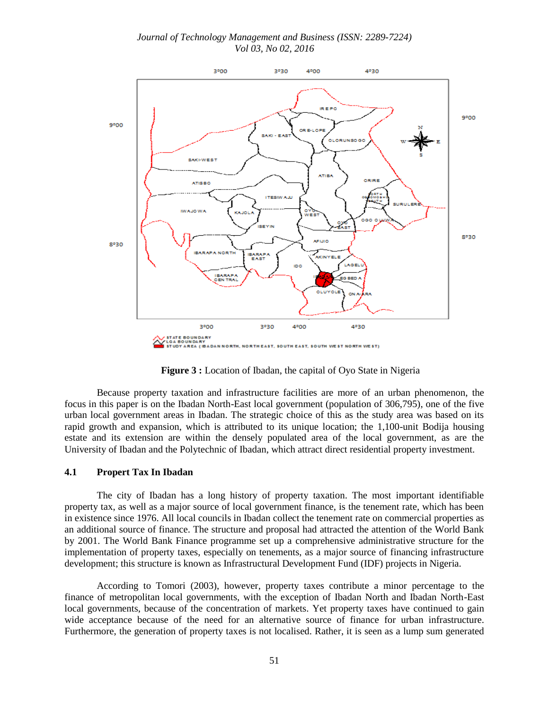*Journal of Technology Management and Business (ISSN: 2289-7224) Vol 03, No 02, 2016*



**Figure 3 :** Location of Ibadan, the capital of Oyo State in Nigeria

Because property taxation and infrastructure facilities are more of an urban phenomenon, the focus in this paper is on the Ibadan North-East local government (population of 306,795), one of the five urban local government areas in Ibadan. The strategic choice of this as the study area was based on its rapid growth and expansion, which is attributed to its unique location; the 1,100-unit Bodija housing estate and its extension are within the densely populated area of the local government, as are the University of Ibadan and the Polytechnic of Ibadan, which attract direct residential property investment.

#### **4.1 Propert Tax In Ibadan**

The city of Ibadan has a long history of property taxation. The most important identifiable property tax, as well as a major source of local government finance, is the tenement rate, which has been in existence since 1976. All local councils in Ibadan collect the tenement rate on commercial properties as an additional source of finance. The structure and proposal had attracted the attention of the World Bank by 2001. The World Bank Finance programme set up a comprehensive administrative structure for the implementation of property taxes, especially on tenements, as a major source of financing infrastructure development; this structure is known as Infrastructural Development Fund (IDF) projects in Nigeria.

According to Tomori (2003), however, property taxes contribute a minor percentage to the finance of metropolitan local governments, with the exception of Ibadan North and Ibadan North-East local governments, because of the concentration of markets. Yet property taxes have continued to gain wide acceptance because of the need for an alternative source of finance for urban infrastructure. Furthermore, the generation of property taxes is not localised. Rather, it is seen as a lump sum generated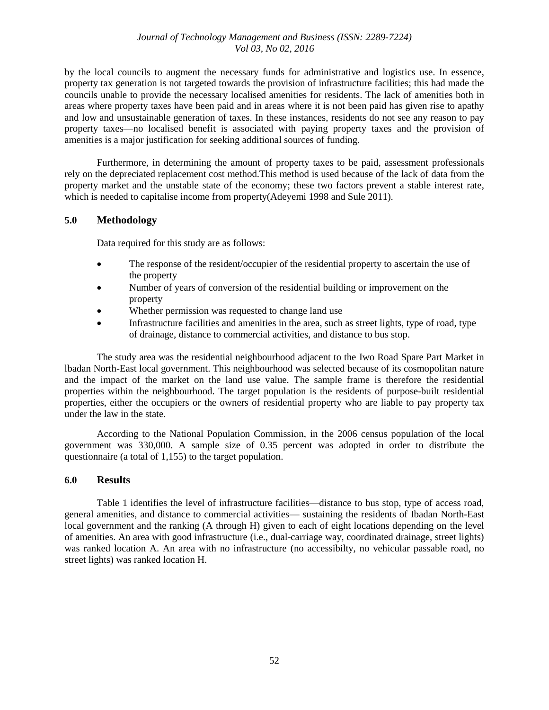by the local councils to augment the necessary funds for administrative and logistics use. In essence, property tax generation is not targeted towards the provision of infrastructure facilities; this had made the councils unable to provide the necessary localised amenities for residents. The lack of amenities both in areas where property taxes have been paid and in areas where it is not been paid has given rise to apathy and low and unsustainable generation of taxes. In these instances, residents do not see any reason to pay property taxes—no localised benefit is associated with paying property taxes and the provision of amenities is a major justification for seeking additional sources of funding.

Furthermore, in determining the amount of property taxes to be paid, assessment professionals rely on the depreciated replacement cost method.This method is used because of the lack of data from the property market and the unstable state of the economy; these two factors prevent a stable interest rate, which is needed to capitalise income from property(Adeyemi 1998 and Sule 2011).

### **5.0 Methodology**

Data required for this study are as follows:

- The response of the resident/occupier of the residential property to ascertain the use of the property
- Number of years of conversion of the residential building or improvement on the property
- Whether permission was requested to change land use
- Infrastructure facilities and amenities in the area, such as street lights, type of road, type of drainage, distance to commercial activities, and distance to bus stop.

The study area was the residential neighbourhood adjacent to the Iwo Road Spare Part Market in lbadan North-East local government. This neighbourhood was selected because of its cosmopolitan nature and the impact of the market on the land use value. The sample frame is therefore the residential properties within the neighbourhood. The target population is the residents of purpose-built residential properties, either the occupiers or the owners of residential property who are liable to pay property tax under the law in the state.

According to the National Population Commission, in the 2006 census population of the local government was 330,000. A sample size of 0.35 percent was adopted in order to distribute the questionnaire (a total of 1,155) to the target population.

### **6.0 Results**

Table 1 identifies the level of infrastructure facilities—distance to bus stop, type of access road, general amenities, and distance to commercial activities— sustaining the residents of Ibadan North-East local government and the ranking (A through H) given to each of eight locations depending on the level of amenities. An area with good infrastructure (i.e., dual-carriage way, coordinated drainage, street lights) was ranked location A. An area with no infrastructure (no accessibilty, no vehicular passable road, no street lights) was ranked location H.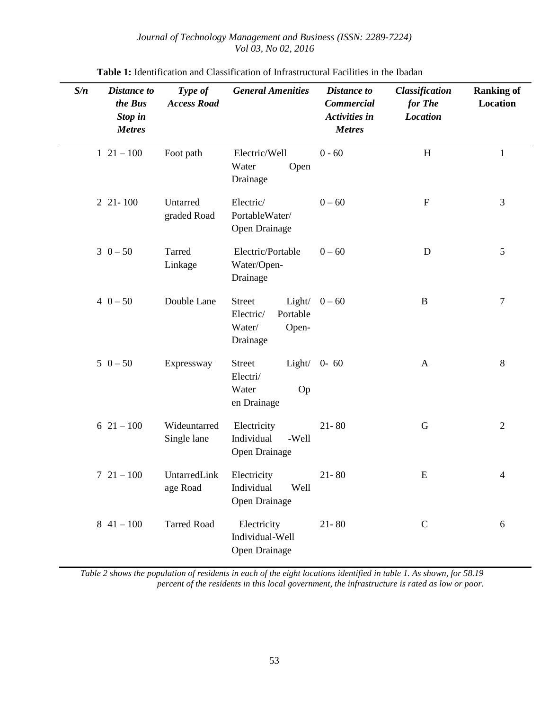| S/n | Distance to<br>the Bus<br>Stop in<br><b>Metres</b> | Type of<br><b>Access Road</b> | <b>General Amenities</b>                                                        | <b>Distance</b> to<br>Commercial<br><b>Activities in</b><br><b>Metres</b> | Classification<br>for The<br><b>Location</b> | <b>Ranking of</b><br><b>Location</b> |
|-----|----------------------------------------------------|-------------------------------|---------------------------------------------------------------------------------|---------------------------------------------------------------------------|----------------------------------------------|--------------------------------------|
|     | $1 \t21 - 100$                                     | Foot path                     | Electric/Well<br>Water<br>Open<br>Drainage                                      | $0 - 60$                                                                  | H                                            | $\mathbf{1}$                         |
|     | $221 - 100$                                        | Untarred<br>graded Road       | Electric/<br>PortableWater/<br>Open Drainage                                    | $0 - 60$                                                                  | ${\bf F}$                                    | 3                                    |
|     | $3\;0 - 50$                                        | Tarred<br>Linkage             | Electric/Portable<br>Water/Open-<br>Drainage                                    | $0 - 60$                                                                  | D                                            | 5                                    |
|     | $4\;0-50$                                          | Double Lane                   | <b>Street</b><br>Light/<br>Portable<br>Electric/<br>Water/<br>Open-<br>Drainage | $0 - 60$                                                                  | $\, {\bf B}$                                 | $\boldsymbol{7}$                     |
|     | $5\;0-50$                                          | Expressway                    | <b>Street</b><br>Light/ $0-60$<br>Electri/<br>Water<br>Op<br>en Drainage        |                                                                           | $\mathbf{A}$                                 | 8                                    |
|     | $621 - 100$                                        | Wideuntarred<br>Single lane   | Electricity<br>Individual<br>-Well<br>Open Drainage                             | $21 - 80$                                                                 | $\mathbf G$                                  | $\mathfrak{2}$                       |
|     | $721 - 100$                                        | UntarredLink<br>age Road      | Electricity<br>Individual<br>Well<br>Open Drainage                              | $21 - 80$                                                                 | E                                            | $\overline{4}$                       |
|     | $841 - 100$                                        | <b>Tarred Road</b>            | Electricity<br>Individual-Well<br>Open Drainage                                 | $21 - 80$                                                                 | $\mathbf C$                                  | 6                                    |

**Table 1:** Identification and Classification of Infrastructural Facilities in the Ibadan

*Table 2 shows the population of residents in each of the eight locations identified in table 1. As shown, for 58.19 percent of the residents in this local government, the infrastructure is rated as low or poor.*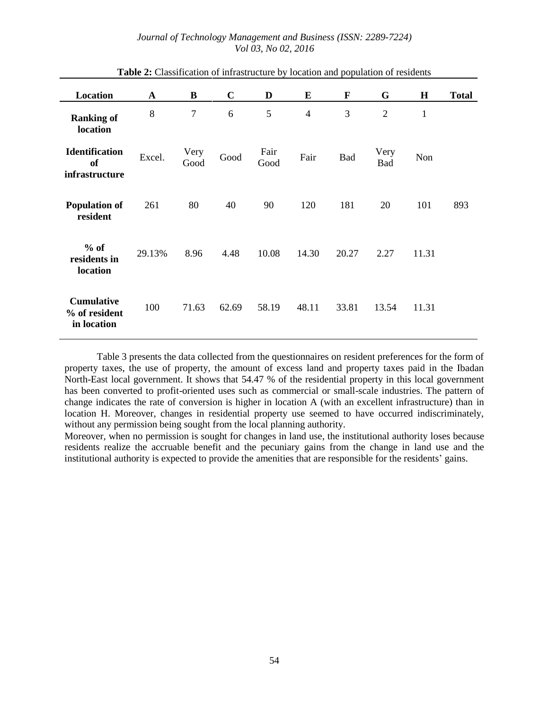| Location                                             | $\mathbf{A}$ | B            | $\mathbf C$ | D            | E              | $\mathbf{F}$ | G              | $\mathbf H$  | <b>Total</b> |
|------------------------------------------------------|--------------|--------------|-------------|--------------|----------------|--------------|----------------|--------------|--------------|
| <b>Ranking of</b><br><b>location</b>                 | 8            | 7            | 6           | 5            | $\overline{4}$ | 3            | $\mathfrak{2}$ | $\mathbf{1}$ |              |
| <b>Identification</b><br><b>of</b><br>infrastructure | Excel.       | Very<br>Good | Good        | Fair<br>Good | Fair           | Bad          | Very<br>Bad    | Non          |              |
| <b>Population of</b><br>resident                     | 261          | 80           | 40          | 90           | 120            | 181          | 20             | 101          | 893          |
| $%$ of<br>residents in<br>location                   | 29.13%       | 8.96         | 4.48        | 10.08        | 14.30          | 20.27        | 2.27           | 11.31        |              |
| <b>Cumulative</b><br>% of resident<br>in location    | 100          | 71.63        | 62.69       | 58.19        | 48.11          | 33.81        | 13.54          | 11.31        |              |

**Table 2:** Classification of infrastructure by location and population of residents

Table 3 presents the data collected from the questionnaires on resident preferences for the form of property taxes, the use of property, the amount of excess land and property taxes paid in the Ibadan North-East local government. It shows that 54.47 % of the residential property in this local government has been converted to profit-oriented uses such as commercial or small-scale industries. The pattern of change indicates the rate of conversion is higher in location A (with an excellent infrastructure) than in location H. Moreover, changes in residential property use seemed to have occurred indiscriminately, without any permission being sought from the local planning authority.

Moreover, when no permission is sought for changes in land use, the institutional authority loses because residents realize the accruable benefit and the pecuniary gains from the change in land use and the institutional authority is expected to provide the amenities that are responsible for the residents' gains.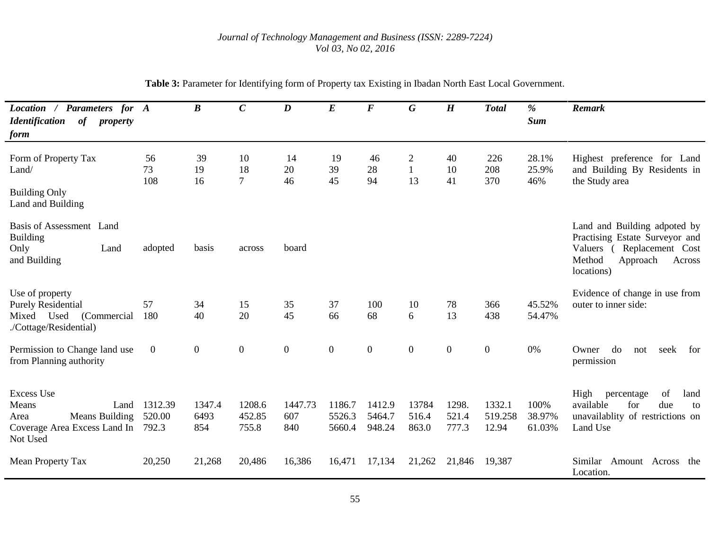| Location / Parameters for A<br><b>Identification</b><br>of<br>property<br>form                                  |                            | $\boldsymbol{B}$      | $\boldsymbol{C}$           | $\boldsymbol{D}$      | $\bm E$                    | $\boldsymbol{F}$           | $\boldsymbol{G}$        | $\boldsymbol{H}$        | <b>Total</b>               | %<br><b>Sum</b>          | <b>Remark</b>                                                                                                                             |
|-----------------------------------------------------------------------------------------------------------------|----------------------------|-----------------------|----------------------------|-----------------------|----------------------------|----------------------------|-------------------------|-------------------------|----------------------------|--------------------------|-------------------------------------------------------------------------------------------------------------------------------------------|
| Form of Property Tax<br>Land/<br><b>Building Only</b><br>Land and Building                                      | 56<br>73<br>108            | 39<br>19<br>16        | 10<br>18<br>$\overline{7}$ | 14<br>20<br>46        | 19<br>39<br>45             | 46<br>28<br>94             | 2<br>$\mathbf{1}$<br>13 | 40<br>10<br>41          | 226<br>208<br>370          | 28.1%<br>25.9%<br>46%    | Highest preference for Land<br>and Building By Residents in<br>the Study area                                                             |
| Basis of Assessment Land<br><b>Building</b><br>Only<br>Land<br>and Building                                     | adopted                    | basis                 | across                     | board                 |                            |                            |                         |                         |                            |                          | Land and Building adpoted by<br>Practising Estate Surveyor and<br>Valuers (Replacement Cost<br>Method<br>Approach<br>Across<br>locations) |
| Use of property<br><b>Purely Residential</b><br>Mixed Used<br>(Commercial<br>./Cottage/Residential)             | 57<br>180                  | 34<br>40              | 15<br>20                   | 35<br>45              | 37<br>66                   | 100<br>68                  | 10<br>6                 | 78<br>13                | 366<br>438                 | 45.52%<br>54.47%         | Evidence of change in use from<br>outer to inner side:                                                                                    |
| Permission to Change land use<br>from Planning authority                                                        | $\boldsymbol{0}$           | $\overline{0}$        | $\mathbf{0}$               | $\mathbf{0}$          | $\overline{0}$             | $\overline{0}$             | $\mathbf{0}$            | $\overline{0}$          | $\overline{0}$             | $0\%$                    | do<br>Owner<br>seek for<br>not<br>permission                                                                                              |
| <b>Excess Use</b><br>Means<br>Land<br><b>Means Building</b><br>Area<br>Coverage Area Excess Land In<br>Not Used | 1312.39<br>520.00<br>792.3 | 1347.4<br>6493<br>854 | 1208.6<br>452.85<br>755.8  | 1447.73<br>607<br>840 | 1186.7<br>5526.3<br>5660.4 | 1412.9<br>5464.7<br>948.24 | 13784<br>516.4<br>863.0 | 1298.<br>521.4<br>777.3 | 1332.1<br>519.258<br>12.94 | 100%<br>38.97%<br>61.03% | High<br>of<br>percentage<br>land<br>available<br>due<br>for<br>to<br>unavailablity of restrictions on<br>Land Use                         |
| Mean Property Tax                                                                                               | 20,250                     | 21,268                | 20,486                     | 16,386                | 16,471                     | 17,134                     | 21,262                  | 21,846                  | 19,387                     |                          | Similar Amount Across the<br>Location.                                                                                                    |

# **Table 3:** Parameter for Identifying form of Property tax Existing in Ibadan North East Local Government.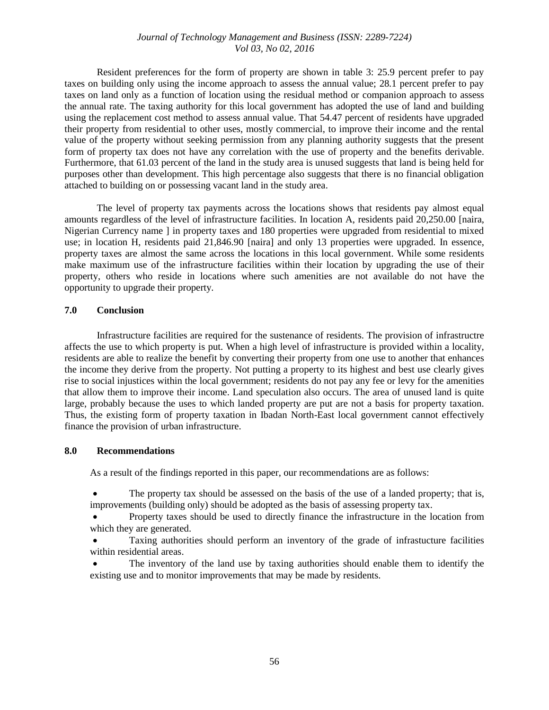Resident preferences for the form of property are shown in table 3: 25.9 percent prefer to pay taxes on building only using the income approach to assess the annual value; 28.1 percent prefer to pay taxes on land only as a function of location using the residual method or companion approach to assess the annual rate. The taxing authority for this local government has adopted the use of land and building using the replacement cost method to assess annual value. That 54.47 percent of residents have upgraded their property from residential to other uses, mostly commercial, to improve their income and the rental value of the property without seeking permission from any planning authority suggests that the present form of property tax does not have any correlation with the use of property and the benefits derivable. Furthermore, that 61.03 percent of the land in the study area is unused suggests that land is being held for purposes other than development. This high percentage also suggests that there is no financial obligation attached to building on or possessing vacant land in the study area.

The level of property tax payments across the locations shows that residents pay almost equal amounts regardless of the level of infrastructure facilities. In location A, residents paid 20,250.00 [naira, Nigerian Currency name ] in property taxes and 180 properties were upgraded from residential to mixed use; in location H, residents paid 21,846.90 [naira] and only 13 properties were upgraded. In essence, property taxes are almost the same across the locations in this local government. While some residents make maximum use of the infrastructure facilities within their location by upgrading the use of their property, others who reside in locations where such amenities are not available do not have the opportunity to upgrade their property.

#### **7.0 Conclusion**

Infrastructure facilities are required for the sustenance of residents. The provision of infrastructre affects the use to which property is put. When a high level of infrastructure is provided within a locality, residents are able to realize the benefit by converting their property from one use to another that enhances the income they derive from the property. Not putting a property to its highest and best use clearly gives rise to social injustices within the local government; residents do not pay any fee or levy for the amenities that allow them to improve their income. Land speculation also occurs. The area of unused land is quite large, probably because the uses to which landed property are put are not a basis for property taxation. Thus, the existing form of property taxation in Ibadan North-East local government cannot effectively finance the provision of urban infrastructure.

#### **8.0 Recommendations**

As a result of the findings reported in this paper, our recommendations are as follows:

 The property tax should be assessed on the basis of the use of a landed property; that is, improvements (building only) should be adopted as the basis of assessing property tax.

 Property taxes should be used to directly finance the infrastructure in the location from which they are generated.

 Taxing authorities should perform an inventory of the grade of infrastucture facilities within residential areas.

 The inventory of the land use by taxing authorities should enable them to identify the existing use and to monitor improvements that may be made by residents.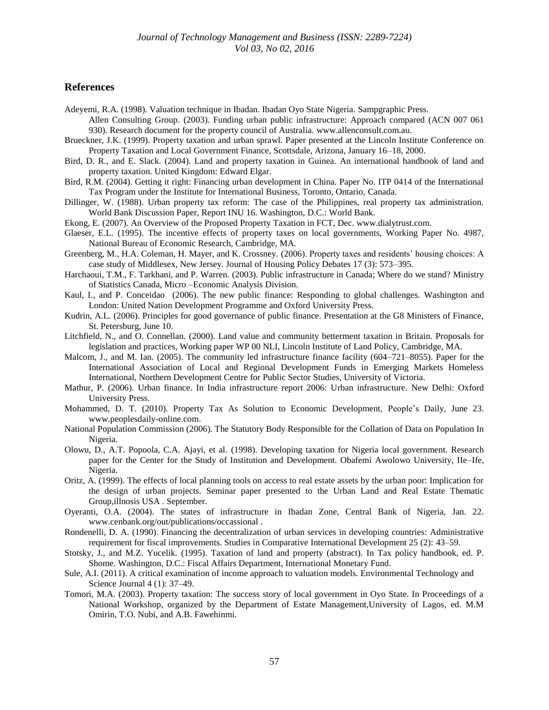### **References**

- Adeyemi, R.A. (1998). Valuation technique in Ibadan. Ibadan Oyo State Nigeria. Sampgraphic Press.
- Allen Consulting Group. (2003). Funding urban public infrastructure: Approach compared (ACN 007 061 930). Research document for the property council of Australia. [www.allenconsult.com.au.](http://www.allenconsult.com.au/)
- Brueckner, J.K. (1999). Property taxation and urban sprawl. Paper presented at the Lincoln Institute Conference on Property Taxation and Local Government Finance, Scottsdale, Arizona, January 16–18, 2000.
- Bird, D. R., and E. Slack. (2004). Land and property taxation in Guinea. An international handbook of land and property taxation. United Kingdom: Edward Elgar.
- Bird, R.M. (2004). Getting it right: Financing urban development in China. Paper No. ITP 0414 of the International Tax Program under the Institute for International Business, Toronto, Ontario, Canada.
- Dillinger, W. (1988). Urban property tax reform: The case of the Philippines, real property tax administration. World Bank Discussion Paper, Report INU 16. Washington, D.C.: World Bank.
- Ekong, E. (2007). An Overview of the Proposed Property Taxation in FCT, Dec[. www.dialytrust.com.](http://www.dialytrust.com/)
- Glaeser, E.L. (1995). The incentive effects of property taxes on local governments, Working Paper No. 4987, National Bureau of Economic Research, Cambridge, MA.
- Greenberg, M., H.A. Coleman, H. Mayer, and K. Crossney. (2006). Property taxes and residents' housing choices: A case study of Middlesex, New Jersey. Journal of Housing Policy Debates 17 (3): 573–395.
- Harchaoui, T.M., F. Tarkhani, and P. Warren. (2003). Public infrastructure in Canada; Where do we stand? Ministry of Statistics Canada, Micro –Economic Analysis Division.
- Kaul, I., and P. Conceidao (2006). The new public finance: Responding to global challenges. Washington and London: United Nation Development Programme and Oxford University Press.
- Kudrin, A.L. (2006). Principles for good governance of public finance. Presentation at the G8 Ministers of Finance, St. Petersburg, June 10.
- Litchfield, N., and O. Connellan. (2000). Land value and community betterment taxation in Britain. Proposals for legislation and practices, Working paper WP 00 NLI, Lincoln Institute of Land Policy, Cambridge, MA.
- Malcom, J., and M. Ian. (2005). The community led infrastructure finance facility (604–721–8055). Paper for the International Association of Local and Regional Development Funds in Emerging Markets Homeless International, Northern Development Centre for Public Sector Studies, University of Victoria.
- Mathur, P. (2006). Urban finance. In India infrastructure report 2006: Urban infrastructure. New Delhi: Oxford University Press.
- Mohammed, D. T. (2010). Property Tax As Solution to Economic Development, People's Daily, June 23. [www.peoplesdaily-online.com.](http://www.peoplesdaily-omline.com/)
- National Population Commission (2006). The Statutory Body Responsible for the Collation of Data on Population In Nigeria.
- Olowu, D., A.T. Popoola, C.A. Ajayi, et al. (1998). Developing taxation for Nigeria local government. Research paper for the Center for the Study of Institution and Development. Obafemi Awolowo University, IIe–Ife, Nigeria.
- Oritz, A. (1999). The effects of local planning tools on access to real estate assets by the urban poor: Implication for the design of urban projects. Seminar paper presented to the Urban Land and Real Estate Thematic Group,illnosis USA . September.
- Oyeranti, O.A. (2004). The states of infrastructure in Ibadan Zone, Central Bank of Nigeria, Jan. 22. [www.cenbank.org/out/publications/occassional](http://www.cenbank.org/out/publications/occassional) .
- Rondenelli, D. A. (1990). Financing the decentralization of urban services in developing countries: Administrative requirement for fiscal improvements. Studies in Comparative International Development 25 (2): 43–59.
- Stotsky, J., and M.Z. Yucelik. (1995). Taxation of land and property (abstract). In Tax policy handbook, ed. P. Shome. Washington, D.C.: Fiscal Affairs Department, International Monetary Fund.
- Sule, A.I. (2011). A critical examination of income approach to valuation models. Environmental Technology and Science Journal 4 (1): 37–49.
- Tomori, M.A. (2003). Property taxation: The success story of local government in Oyo State. In Proceedings of a National Workshop, organized by the Department of Estate Management,University of Lagos, ed. M.M Omirin, T.O. Nubi, and A.B. Fawehinmi.